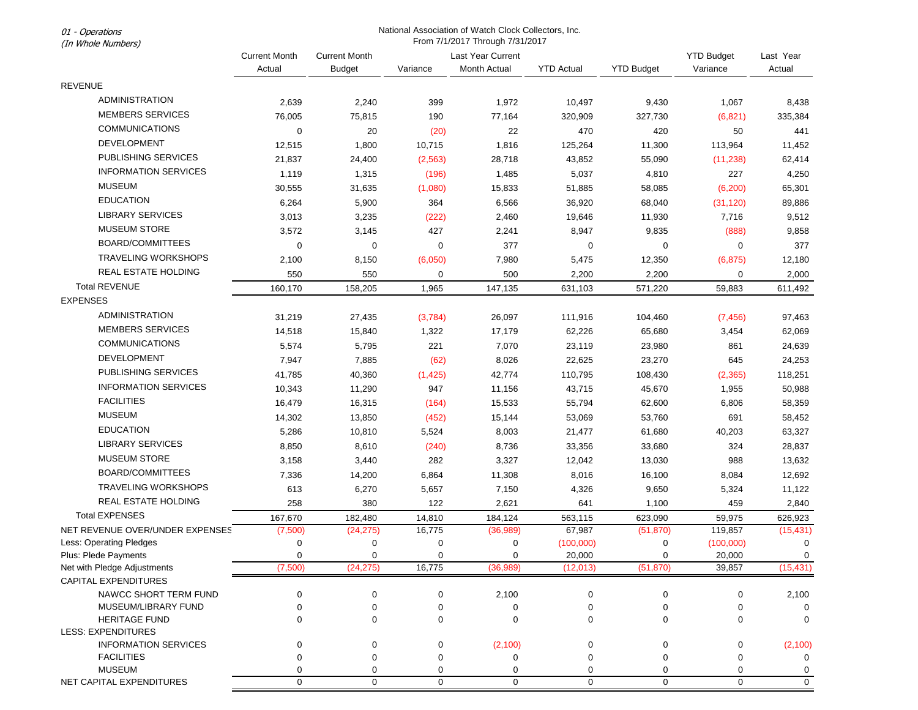01 - Operations (In Whole Numbers)

## National Association of Watch Clock Collectors, Inc. From 7/1/2017 Through 7/31/2017

| (III WINDE NUMBERS)                          |                                |                                       |             |                                   |                   |                   |                               |                     |  |
|----------------------------------------------|--------------------------------|---------------------------------------|-------------|-----------------------------------|-------------------|-------------------|-------------------------------|---------------------|--|
|                                              | <b>Current Month</b><br>Actual | <b>Current Month</b><br><b>Budget</b> | Variance    | Last Year Current<br>Month Actual | <b>YTD Actual</b> | <b>YTD Budget</b> | <b>YTD Budget</b><br>Variance | Last Year<br>Actual |  |
| <b>REVENUE</b>                               |                                |                                       |             |                                   |                   |                   |                               |                     |  |
| ADMINISTRATION                               |                                |                                       |             |                                   |                   |                   |                               |                     |  |
| <b>MEMBERS SERVICES</b>                      | 2,639                          | 2,240                                 | 399         | 1,972                             | 10,497            | 9,430             | 1,067                         | 8,438               |  |
|                                              | 76,005                         | 75,815                                | 190         | 77,164                            | 320,909           | 327,730           | (6,821)                       | 335,384             |  |
| <b>COMMUNICATIONS</b>                        | 0                              | 20                                    | (20)        | 22                                | 470               | 420               | 50                            | 441                 |  |
| <b>DEVELOPMENT</b>                           | 12,515                         | 1,800                                 | 10,715      | 1,816                             | 125,264           | 11,300            | 113,964                       | 11,452              |  |
| PUBLISHING SERVICES                          | 21,837                         | 24,400                                | (2, 563)    | 28,718                            | 43,852            | 55,090            | (11, 238)                     | 62,414              |  |
| <b>INFORMATION SERVICES</b>                  | 1,119                          | 1,315                                 | (196)       | 1,485                             | 5,037             | 4,810             | 227                           | 4,250               |  |
| <b>MUSEUM</b>                                | 30,555                         | 31,635                                | (1,080)     | 15,833                            | 51,885            | 58,085            | (6, 200)                      | 65,301              |  |
| <b>EDUCATION</b>                             | 6,264                          | 5,900                                 | 364         | 6,566                             | 36,920            | 68,040            | (31, 120)                     | 89,886              |  |
| <b>LIBRARY SERVICES</b>                      | 3,013                          | 3,235                                 | (222)       | 2,460                             | 19,646            | 11,930            | 7,716                         | 9,512               |  |
| <b>MUSEUM STORE</b>                          | 3,572                          | 3,145                                 | 427         | 2,241                             | 8,947             | 9,835             | (888)                         | 9,858               |  |
| <b>BOARD/COMMITTEES</b>                      | $\mathbf 0$                    | $\mathbf 0$                           | $\mathbf 0$ | 377                               | $\mathbf 0$       | 0                 | $\mathbf 0$                   | 377                 |  |
| <b>TRAVELING WORKSHOPS</b>                   | 2,100                          | 8,150                                 | (6,050)     | 7,980                             | 5,475             | 12,350            | (6, 875)                      | 12,180              |  |
| <b>REAL ESTATE HOLDING</b>                   | 550                            | 550                                   | 0           | 500                               | 2,200             | 2,200             | 0                             | 2,000               |  |
| <b>Total REVENUE</b>                         | 160,170                        | 158,205                               | 1,965       | 147,135                           | 631,103           | 571,220           | 59,883                        | 611,492             |  |
| <b>EXPENSES</b>                              |                                |                                       |             |                                   |                   |                   |                               |                     |  |
| ADMINISTRATION                               | 31,219                         | 27,435                                | (3,784)     | 26,097                            | 111,916           | 104,460           | (7, 456)                      | 97,463              |  |
| <b>MEMBERS SERVICES</b>                      | 14,518                         | 15,840                                | 1,322       | 17,179                            | 62,226            | 65,680            | 3,454                         | 62,069              |  |
| <b>COMMUNICATIONS</b>                        | 5,574                          | 5,795                                 | 221         | 7,070                             | 23,119            | 23,980            | 861                           | 24,639              |  |
| <b>DEVELOPMENT</b>                           | 7,947                          | 7,885                                 | (62)        | 8,026                             | 22,625            | 23,270            | 645                           | 24,253              |  |
| PUBLISHING SERVICES                          | 41,785                         | 40,360                                |             | 42,774                            | 110,795           |                   |                               |                     |  |
| <b>INFORMATION SERVICES</b>                  |                                |                                       | (1, 425)    |                                   |                   | 108,430           | (2, 365)                      | 118,251             |  |
| <b>FACILITIES</b>                            | 10,343                         | 11,290                                | 947         | 11,156                            | 43,715            | 45,670            | 1,955                         | 50,988              |  |
| <b>MUSEUM</b>                                | 16,479                         | 16,315                                | (164)       | 15,533                            | 55,794            | 62,600            | 6,806                         | 58,359              |  |
|                                              | 14,302                         | 13,850                                | (452)       | 15,144                            | 53,069            | 53,760            | 691                           | 58,452              |  |
| <b>EDUCATION</b>                             | 5,286                          | 10,810                                | 5,524       | 8,003                             | 21,477            | 61,680            | 40,203                        | 63,327              |  |
| LIBRARY SERVICES                             | 8,850                          | 8,610                                 | (240)       | 8,736                             | 33,356            | 33,680            | 324                           | 28,837              |  |
| <b>MUSEUM STORE</b>                          | 3,158                          | 3,440                                 | 282         | 3,327                             | 12,042            | 13,030            | 988                           | 13,632              |  |
| <b>BOARD/COMMITTEES</b>                      | 7,336                          | 14,200                                | 6,864       | 11,308                            | 8,016             | 16,100            | 8,084                         | 12,692              |  |
| <b>TRAVELING WORKSHOPS</b>                   | 613                            | 6,270                                 | 5,657       | 7,150                             | 4,326             | 9,650             | 5,324                         | 11,122              |  |
| REAL ESTATE HOLDING                          | 258                            | 380                                   | 122         | 2,621                             | 641               | 1,100             | 459                           | 2,840               |  |
| <b>Total EXPENSES</b>                        | 167,670                        | 182,480                               | 14,810      | 184,124                           | 563,115           | 623,090           | 59,975                        | 626,923             |  |
| NET REVENUE OVER/UNDER EXPENSES              | (7,500)                        | (24, 275)                             | 16,775      | (36,989)                          | 67,987            | (51, 870)         | 119,857                       | (15, 431)           |  |
| Less: Operating Pledges                      | 0                              | 0                                     | 0           | 0                                 | (100,000)         | 0                 | (100,000)                     | 0                   |  |
| Plus: Plede Payments                         | 0                              | 0                                     | 0           | 0                                 | 20,000            | 0                 | 20,000                        | 0                   |  |
| Net with Pledge Adjustments                  | (7,500)                        | (24, 275)                             | 16,775      | (36, 989)                         | (12, 013)         | (51, 870)         | 39,857                        | (15, 431)           |  |
| CAPITAL EXPENDITURES                         |                                |                                       |             |                                   |                   |                   |                               |                     |  |
| NAWCC SHORT TERM FUND<br>MUSEUM/LIBRARY FUND | 0<br>0                         | 0<br>$\mathbf 0$                      | 0<br>0      | 2,100<br>0                        | $\mathbf 0$<br>0  | 0<br>0            | 0<br>0                        | 2,100<br>0          |  |
| <b>HERITAGE FUND</b>                         | 0                              | $\mathbf 0$                           | 0           | $\mathbf 0$                       | $\mathbf 0$       | 0                 | 0                             | 0                   |  |
| <b>LESS: EXPENDITURES</b>                    |                                |                                       |             |                                   |                   |                   |                               |                     |  |
| <b>INFORMATION SERVICES</b>                  | 0                              | 0                                     | 0           | (2,100)                           | $\mathbf 0$       | 0                 | 0                             | (2, 100)            |  |
| <b>FACILITIES</b>                            | 0                              | $\mathbf 0$                           | $\mathbf 0$ | 0                                 | 0                 | 0                 | 0                             | $\mathbf 0$         |  |
| <b>MUSEUM</b>                                | 0                              | $\mathbf 0$                           | 0           | $\mathbf 0$                       | 0                 | 0                 | 0                             | $\mathbf 0$         |  |
| NET CAPITAL EXPENDITURES                     | $\mathbf 0$                    | $\mathbf 0$                           | $\mathbf 0$ | $\mathbf 0$                       | $\mathbf 0$       | 0                 | $\mathbf 0$                   | $\mathbf 0$         |  |